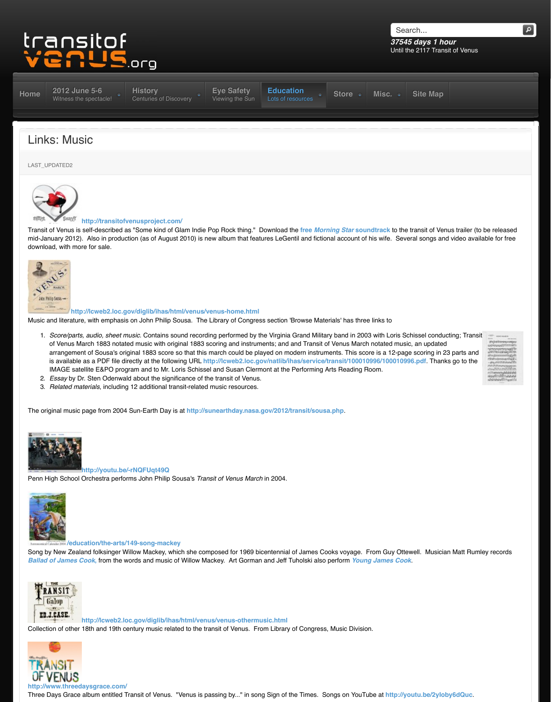

## **http://lcweb2.loc.gov/diglib/ihas/html/venus/venus-home.html**

Music and literature, with emphasis on John Philip Sousa. The Library of Congress section 'Browse Mate

- 1. *Score/parts, audio, sheet music.* Contains sound recording performed by the Virginia Grand Militar of Venus March 1883 notated music with original 1883 scoring and instruments; and and Transit of arrangement of Sousa's original 1883 score so that this march could be played on modern instrum is available as a PDF file directly at the following URL http://lcweb2.loc.gov/natlib/ihas/service/t [IMAGE satellite E&PO pro](http://www.transitofvenus.org/june2012)[gram and to Mr. Loris Schiss](http://www.transitofvenus.org/history)[el and Susan Clerm](http://www.transitofvenus.org/june2012/eye-safety)[ont at the Performing A](http://www.transitofvenus.org/education)
- [2.](http://www.transitofvenus.org/) *Essay* by Dr. Sten Odenwald about the significance of the transit of Venus.
- 3. *Related materials*, including 12 additional transit-related music resources.

The original music page from 2004 Sun-Earth Day is at http://sunearthday.nasa.gov/2012/transit/sousa



## **http://youtu.be/-rNQFUqt49Q**

[Penn High School](http://www.transitofvenus.org/education/music/162-links-music) Orchestra performs John Philip Sousa's *Transit of Venus March* in 2004.



## **/education/the-arts/149-song-mackey**

Song by New Zealand folksinger Willow Mackey, which she composed for 1969 bicentennial of James Co **Ballad of James Cook**, from the words and music of Willow Mackey. Art Gorman and Jeff Tuholski also



**http://lcweb2.loc.gov/diglib/ihas/html/venus/venus-othermusic.html**

Collection of other 18th and 19th century music related to the transit of Venus. From Library of Congress,



Three Days Grace album entitled Transit of Venus. "Venus is passing by..." in song Sign of the Times. So